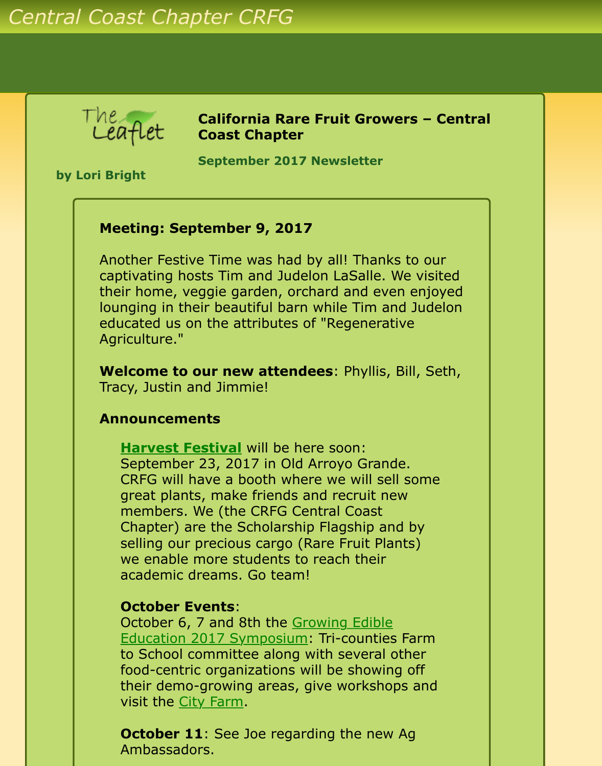

**California Rare Fruit Growers – Central Coast Chapter**

**September 2017 Newsletter** 

**by Lori Bright**

## **Meeting: September 9, 2017**

Another Festive Time was had by all! Thanks to our captivating hosts Tim and Judelon LaSalle. We visited their home, veggie garden, orchard and even enjoyed lounging in their beautiful barn while Tim and Judelon educated us on the attributes of "Regenerative Agriculture."

**Welcome to our new attendees**: Phyllis, Bill, Seth, Tracy, Justin and Jimmie!

### **Announcements**

**[Harvest Festival](http://agharvestfestival.com/)** will be here soon: September 23, 2017 in Old Arroyo Grande. CRFG will have a booth where we will sell some great plants, make friends and recruit new members. We (the CRFG Central Coast Chapter) are the Scholarship Flagship and by selling our precious cargo (Rare Fruit Plants) we enable more students to reach their academic dreams. Go team!

#### **October Events**:

October 6, 7 and 8th the Growing Edible [Education 2017 Symposium: Tri-counties](http://www.cafarmtoschool.org/event/growing-edible-education-2017-symposium/) Farm to School committee along with several other food-centric organizations will be showing off their demo-growing areas, give workshops and visit the [City Farm](http://centralcoastgrown.org/city-farm/).

**October 11:** See Joe regarding the new Ag Ambassadors.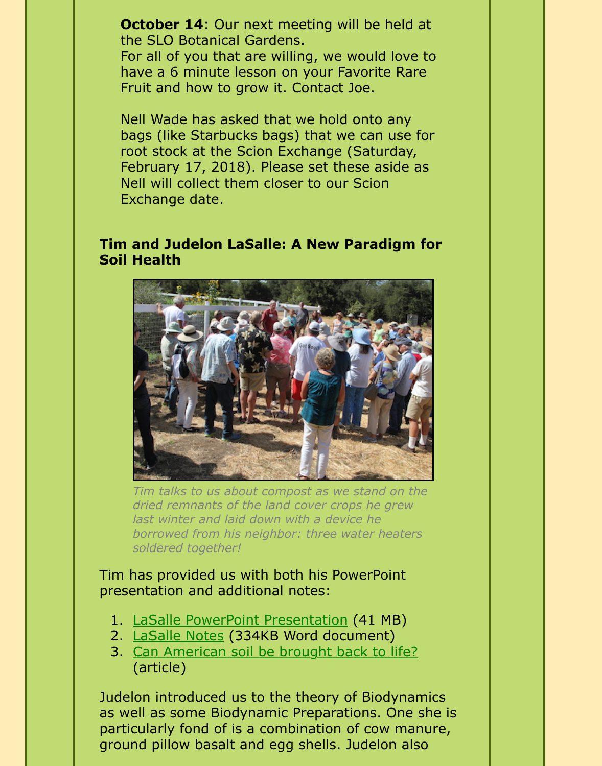**October 14:** Our next meeting will be held at the SLO Botanical Gardens.

For all of you that are willing, we would love to have a 6 minute lesson on your Favorite Rare Fruit and how to grow it. Contact Joe.

Nell Wade has asked that we hold onto any bags (like Starbucks bags) that we can use for root stock at the Scion Exchange (Saturday, February 17, 2018). Please set these aside as Nell will collect them closer to our Scion Exchange date.

## **Tim and Judelon LaSalle: A New Paradigm for Soil Health**



*Tim talks to us about compost as we stand on the dried remnants of the land cover crops he grew last winter and laid down with a device he borrowed from his neighbor: three water heaters soldered together!*

Tim has provided us with both his PowerPoint presentation and additional notes:

- 1. [LaSalle PowerPoint Presentation](http://www.crfg-central.org/Newsletters/2017/Sep/LaSallesPresentationFromSept2017Mtg.pptx) (41 MB)
- 2. [LaSalle Notes](http://www.crfg-central.org/Newsletters/2017/Sep/TimLaSallesNotesFromSept2017Mtg.docx) (334KB Word document)
- 3. [Can American soil be brought back to life?](http://www.politico.com/agenda/story/2017/09/13/soil-health-agriculture-trend-usda-000513) (article)

Judelon introduced us to the theory of Biodynamics as well as some Biodynamic Preparations. One she is particularly fond of is a combination of cow manure, ground pillow basalt and egg shells. Judelon also